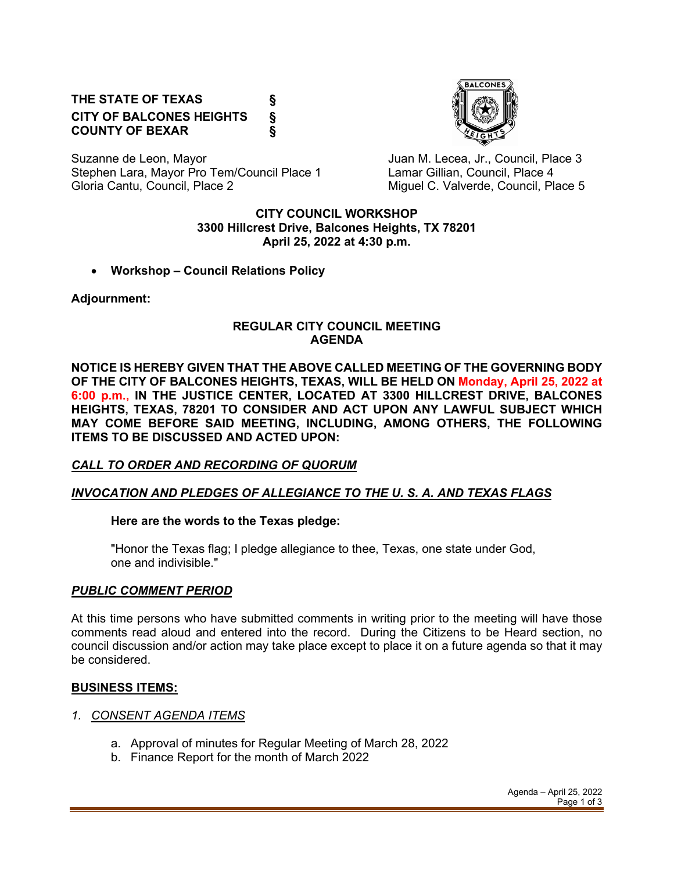# **THE STATE OF TEXAS § CITY OF BALCONES HEIGHTS § COUNTY OF BEXAR §**



Suzanne de Leon, Mayor **Juan M. Lecea, Jr., Council, Place 3** Stephen Lara, Mayor Pro Tem/Council Place 1 Lamar Gillian, Council, Place 4 Gloria Cantu, Council, Place 2 Council C. Valverde, Council, Place 5

#### **CITY COUNCIL WORKSHOP 3300 Hillcrest Drive, Balcones Heights, TX 78201 April 25, 2022 at 4:30 p.m.**

• **Workshop – Council Relations Policy**

**Adjournment:** 

#### **REGULAR CITY COUNCIL MEETING AGENDA**

**NOTICE IS HEREBY GIVEN THAT THE ABOVE CALLED MEETING OF THE GOVERNING BODY OF THE CITY OF BALCONES HEIGHTS, TEXAS, WILL BE HELD ON Monday, April 25, 2022 at 6:00 p.m., IN THE JUSTICE CENTER, LOCATED AT 3300 HILLCREST DRIVE, BALCONES HEIGHTS, TEXAS, 78201 TO CONSIDER AND ACT UPON ANY LAWFUL SUBJECT WHICH MAY COME BEFORE SAID MEETING, INCLUDING, AMONG OTHERS, THE FOLLOWING ITEMS TO BE DISCUSSED AND ACTED UPON:**

# *CALL TO ORDER AND RECORDING OF QUORUM*

# *INVOCATION AND PLEDGES OF ALLEGIANCE TO THE U. S. A. AND TEXAS FLAGS*

### **Here are the words to the Texas pledge:**

"Honor the Texas flag; I pledge allegiance to thee, Texas, one state under God, one and indivisible."

### *PUBLIC COMMENT PERIOD*

At this time persons who have submitted comments in writing prior to the meeting will have those comments read aloud and entered into the record. During the Citizens to be Heard section, no council discussion and/or action may take place except to place it on a future agenda so that it may be considered.

### **BUSINESS ITEMS:**

- *1. CONSENT AGENDA ITEMS*
	- a. Approval of minutes for Regular Meeting of March 28, 2022
	- b. Finance Report for the month of March 2022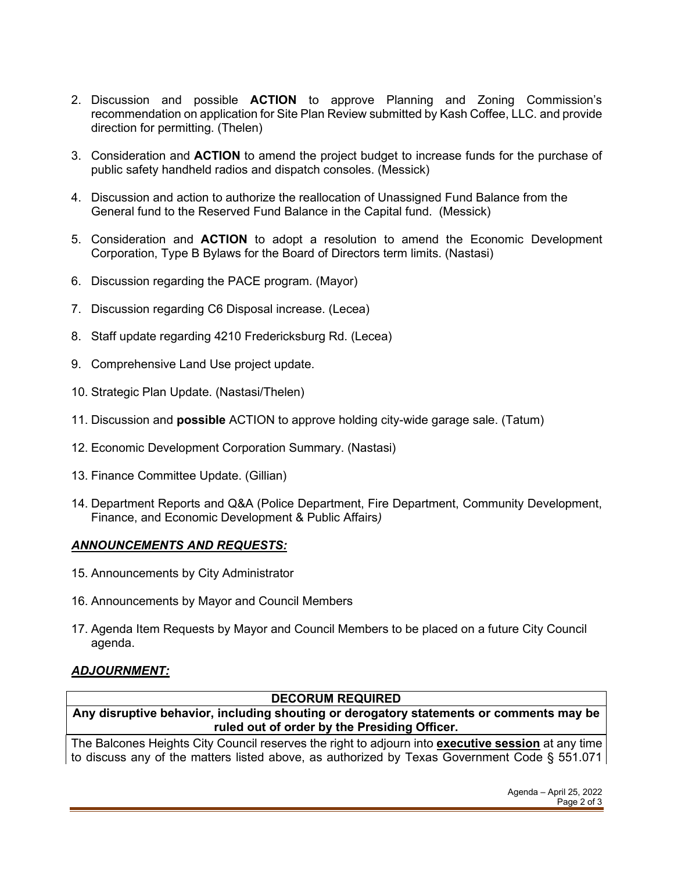- 2. Discussion and possible **ACTION** to approve Planning and Zoning Commission's recommendation on application for Site Plan Review submitted by Kash Coffee, LLC. and provide direction for permitting. (Thelen)
- 3. Consideration and **ACTION** to amend the project budget to increase funds for the purchase of public safety handheld radios and dispatch consoles. (Messick)
- 4. Discussion and action to authorize the reallocation of Unassigned Fund Balance from the General fund to the Reserved Fund Balance in the Capital fund. (Messick)
- 5. Consideration and **ACTION** to adopt a resolution to amend the Economic Development Corporation, Type B Bylaws for the Board of Directors term limits. (Nastasi)
- 6. Discussion regarding the PACE program. (Mayor)
- 7. Discussion regarding C6 Disposal increase. (Lecea)
- 8. Staff update regarding 4210 Fredericksburg Rd. (Lecea)
- 9. Comprehensive Land Use project update.
- 10. Strategic Plan Update. (Nastasi/Thelen)
- 11. Discussion and **possible** ACTION to approve holding city-wide garage sale. (Tatum)
- 12. Economic Development Corporation Summary. (Nastasi)
- 13. Finance Committee Update. (Gillian)
- 14. Department Reports and Q&A (Police Department, Fire Department, Community Development, Finance, and Economic Development & Public Affairs*)*

### *ANNOUNCEMENTS AND REQUESTS:*

- 15. Announcements by City Administrator
- 16. Announcements by Mayor and Council Members
- 17. Agenda Item Requests by Mayor and Council Members to be placed on a future City Council agenda.

# *ADJOURNMENT:*

**DECORUM REQUIRED**

**Any disruptive behavior, including shouting or derogatory statements or comments may be ruled out of order by the Presiding Officer.** 

The Balcones Heights City Council reserves the right to adjourn into **executive session** at any time to discuss any of the matters listed above, as authorized by Texas Government Code § 551.071